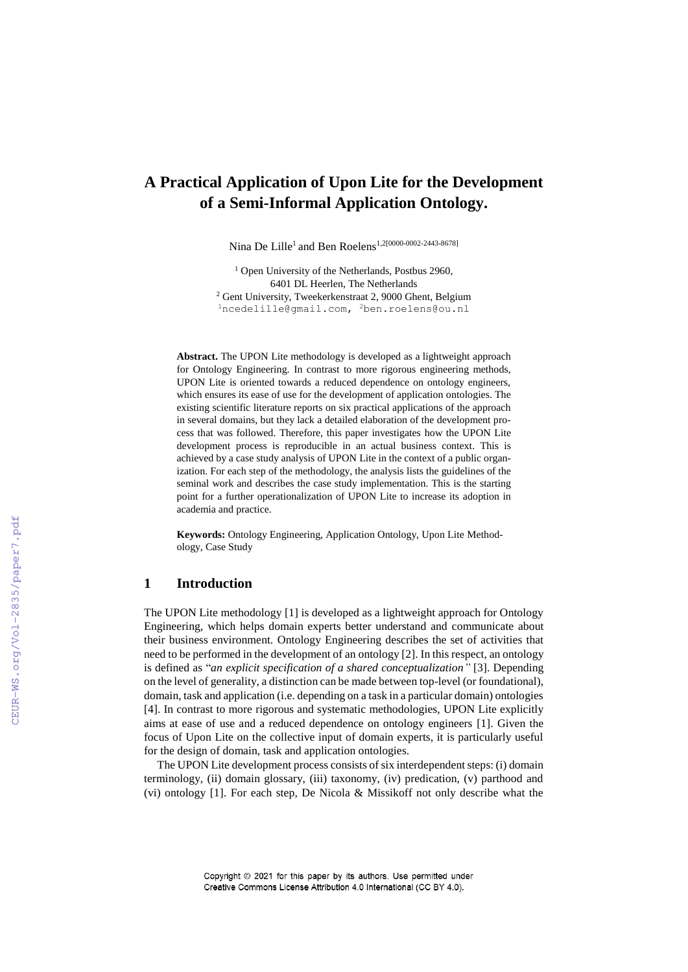# **A Practical Application of Upon Lite for the Development of a Semi-Informal Application Ontology.**

Nina De Lille<sup>1</sup> and Ben Roelens<sup>1,2[0000-0002-2443-8678]</sup>

<sup>1</sup> Open University of the Netherlands, Postbus 2960, 6401 DL Heerlen, The Netherlands <sup>2</sup> Gent University, Tweekerkenstraat 2, 9000 Ghent, Belgium <sup>1</sup>[ncedelille@gmail.com,](mailto:ncedelille@gmail.com) <sup>2</sup>ben.roelens@ou.nl

**Abstract.** The UPON Lite methodology is developed as a lightweight approach for Ontology Engineering. In contrast to more rigorous engineering methods, UPON Lite is oriented towards a reduced dependence on ontology engineers, which ensures its ease of use for the development of application ontologies. The existing scientific literature reports on six practical applications of the approach in several domains, but they lack a detailed elaboration of the development process that was followed. Therefore, this paper investigates how the UPON Lite development process is reproducible in an actual business context. This is achieved by a case study analysis of UPON Lite in the context of a public organization. For each step of the methodology, the analysis lists the guidelines of the seminal work and describes the case study implementation. This is the starting point for a further operationalization of UPON Lite to increase its adoption in academia and practice.

**Keywords:** Ontology Engineering, Application Ontology, Upon Lite Methodology, Case Study

## **1 Introduction**

The UPON Lite methodology [1] is developed as a lightweight approach for Ontology Engineering, which helps domain experts better understand and communicate about their business environment. Ontology Engineering describes the set of activities that need to be performed in the development of an ontology [2]. In this respect, an ontology is defined as "*an explicit specification of a shared conceptualization"* [3]. Depending on the level of generality, a distinction can be made between top-level (or foundational), domain, task and application (i.e. depending on a task in a particular domain) ontologies [4]. In contrast to more rigorous and systematic methodologies, UPON Lite explicitly aims at ease of use and a reduced dependence on ontology engineers [1]. Given the focus of Upon Lite on the collective input of domain experts, it is particularly useful for the design of domain, task and application ontologies.

The UPON Lite development process consists of six interdependent steps: (i) domain terminology, (ii) domain glossary, (iii) taxonomy, (iv) predication, (v) parthood and (vi) ontology [1]. For each step, De Nicola & Missikoff not only describe what the

> Copyright © 2021 for this paper by its authors. Use permitted under Creative Commons License Attribution 4.0 International (CC BY 4.0).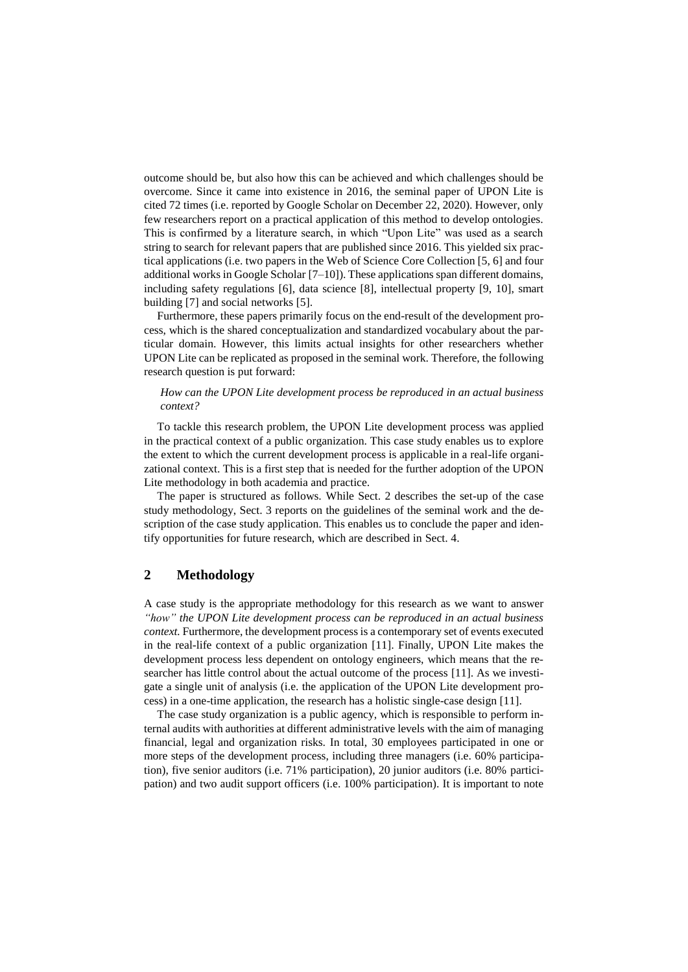outcome should be, but also how this can be achieved and which challenges should be overcome. Since it came into existence in 2016, the seminal paper of UPON Lite is cited 72 times (i.e. reported by Google Scholar on December 22, 2020). However, only few researchers report on a practical application of this method to develop ontologies. This is confirmed by a literature search, in which "Upon Lite" was used as a search string to search for relevant papers that are published since 2016. This yielded six practical applications (i.e. two papers in the Web of Science Core Collection [5, 6] and four additional works in Google Scholar  $[7-10]$ ). These applications span different domains, including safety regulations [6], data science [8], intellectual property [9, 10], smart building [7] and social networks [5].

Furthermore, these papers primarily focus on the end-result of the development process, which is the shared conceptualization and standardized vocabulary about the particular domain. However, this limits actual insights for other researchers whether UPON Lite can be replicated as proposed in the seminal work. Therefore, the following research question is put forward:

### *How can the UPON Lite development process be reproduced in an actual business context?*

To tackle this research problem, the UPON Lite development process was applied in the practical context of a public organization. This case study enables us to explore the extent to which the current development process is applicable in a real-life organizational context. This is a first step that is needed for the further adoption of the UPON Lite methodology in both academia and practice.

The paper is structured as follows. While Sect. 2 describes the set-up of the case study methodology, Sect. 3 reports on the guidelines of the seminal work and the description of the case study application. This enables us to conclude the paper and identify opportunities for future research, which are described in Sect. 4.

# **2 Methodology**

A case study is the appropriate methodology for this research as we want to answer *"how" the UPON Lite development process can be reproduced in an actual business context.* Furthermore, the development process is a contemporary set of events executed in the real-life context of a public organization [11]. Finally, UPON Lite makes the development process less dependent on ontology engineers, which means that the researcher has little control about the actual outcome of the process [11]. As we investigate a single unit of analysis (i.e. the application of the UPON Lite development process) in a one-time application, the research has a holistic single-case design [11].

The case study organization is a public agency, which is responsible to perform internal audits with authorities at different administrative levels with the aim of managing financial, legal and organization risks. In total, 30 employees participated in one or more steps of the development process, including three managers (i.e. 60% participation), five senior auditors (i.e. 71% participation), 20 junior auditors (i.e. 80% participation) and two audit support officers (i.e. 100% participation). It is important to note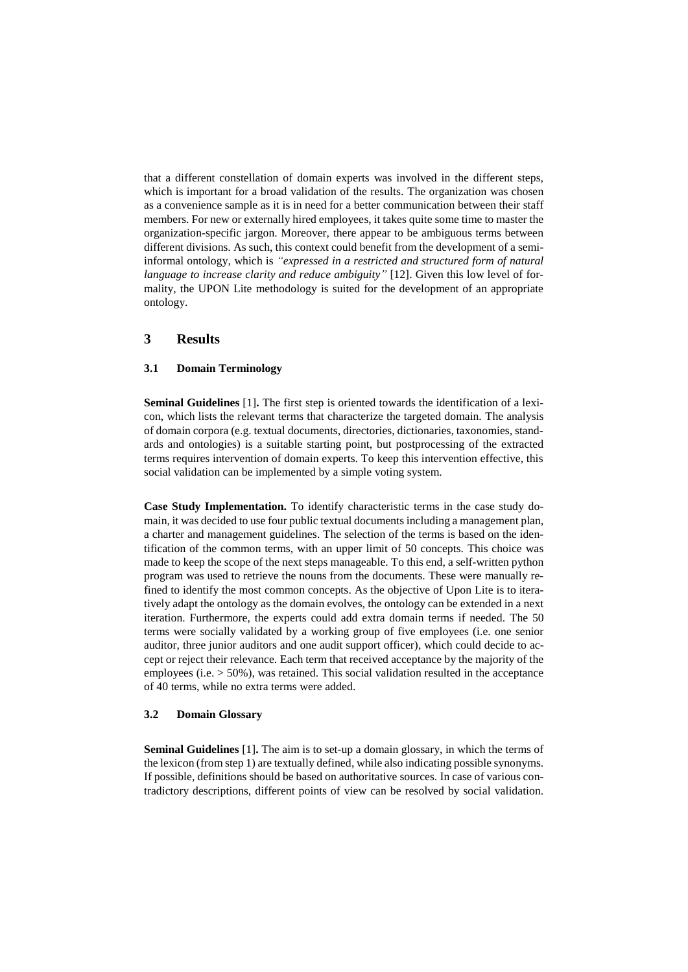that a different constellation of domain experts was involved in the different steps, which is important for a broad validation of the results. The organization was chosen as a convenience sample as it is in need for a better communication between their staff members. For new or externally hired employees, it takes quite some time to master the organization-specific jargon. Moreover, there appear to be ambiguous terms between different divisions. As such, this context could benefit from the development of a semiinformal ontology, which is *"expressed in a restricted and structured form of natural language to increase clarity and reduce ambiguity"* [12]. Given this low level of formality, the UPON Lite methodology is suited for the development of an appropriate ontology.

# **3 Results**

#### **3.1 Domain Terminology**

**Seminal Guidelines** [1]**.** The first step is oriented towards the identification of a lexicon, which lists the relevant terms that characterize the targeted domain. The analysis of domain corpora (e.g. textual documents, directories, dictionaries, taxonomies, standards and ontologies) is a suitable starting point, but postprocessing of the extracted terms requires intervention of domain experts. To keep this intervention effective, this social validation can be implemented by a simple voting system.

**Case Study Implementation.** To identify characteristic terms in the case study domain, it was decided to use four public textual documents including a management plan, a charter and management guidelines. The selection of the terms is based on the identification of the common terms, with an upper limit of 50 concepts. This choice was made to keep the scope of the next steps manageable. To this end, a self-written python program was used to retrieve the nouns from the documents. These were manually refined to identify the most common concepts. As the objective of Upon Lite is to iteratively adapt the ontology as the domain evolves, the ontology can be extended in a next iteration. Furthermore, the experts could add extra domain terms if needed. The 50 terms were socially validated by a working group of five employees (i.e. one senior auditor, three junior auditors and one audit support officer), which could decide to accept or reject their relevance. Each term that received acceptance by the majority of the employees (i.e.  $>$  50%), was retained. This social validation resulted in the acceptance of 40 terms, while no extra terms were added.

#### **3.2 Domain Glossary**

**Seminal Guidelines** [1]**.** The aim is to set-up a domain glossary, in which the terms of the lexicon (from step 1) are textually defined, while also indicating possible synonyms. If possible, definitions should be based on authoritative sources. In case of various contradictory descriptions, different points of view can be resolved by social validation.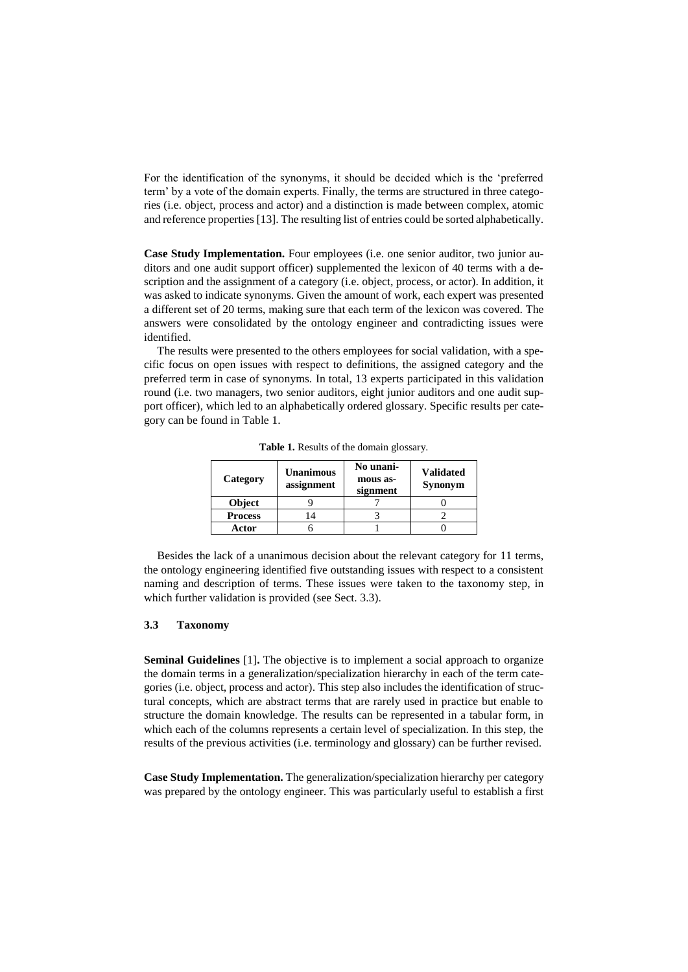For the identification of the synonyms, it should be decided which is the 'preferred term' by a vote of the domain experts. Finally, the terms are structured in three categories (i.e. object, process and actor) and a distinction is made between complex, atomic and reference properties [13]. The resulting list of entries could be sorted alphabetically.

**Case Study Implementation.** Four employees (i.e. one senior auditor, two junior auditors and one audit support officer) supplemented the lexicon of 40 terms with a description and the assignment of a category (i.e. object, process, or actor). In addition, it was asked to indicate synonyms. Given the amount of work, each expert was presented a different set of 20 terms, making sure that each term of the lexicon was covered. The answers were consolidated by the ontology engineer and contradicting issues were identified.

The results were presented to the others employees for social validation, with a specific focus on open issues with respect to definitions, the assigned category and the preferred term in case of synonyms. In total, 13 experts participated in this validation round (i.e. two managers, two senior auditors, eight junior auditors and one audit support officer), which led to an alphabetically ordered glossary. Specific results per category can be found in Table 1.

| Category       | <b>Unanimous</b><br>assignment | No unani-<br>mous as-<br>signment | <b>Validated</b><br><b>Synonym</b> |
|----------------|--------------------------------|-----------------------------------|------------------------------------|
| Object         |                                |                                   |                                    |
| <b>Process</b> |                                |                                   |                                    |
| Actor          |                                |                                   |                                    |

**Table 1.** Results of the domain glossary.

Besides the lack of a unanimous decision about the relevant category for 11 terms, the ontology engineering identified five outstanding issues with respect to a consistent naming and description of terms. These issues were taken to the taxonomy step, in which further validation is provided (see Sect. 3.3).

## **3.3 Taxonomy**

**Seminal Guidelines** [1]**.** The objective is to implement a social approach to organize the domain terms in a generalization/specialization hierarchy in each of the term categories (i.e. object, process and actor). This step also includes the identification of structural concepts, which are abstract terms that are rarely used in practice but enable to structure the domain knowledge. The results can be represented in a tabular form, in which each of the columns represents a certain level of specialization. In this step, the results of the previous activities (i.e. terminology and glossary) can be further revised.

**Case Study Implementation.** The generalization/specialization hierarchy per category was prepared by the ontology engineer. This was particularly useful to establish a first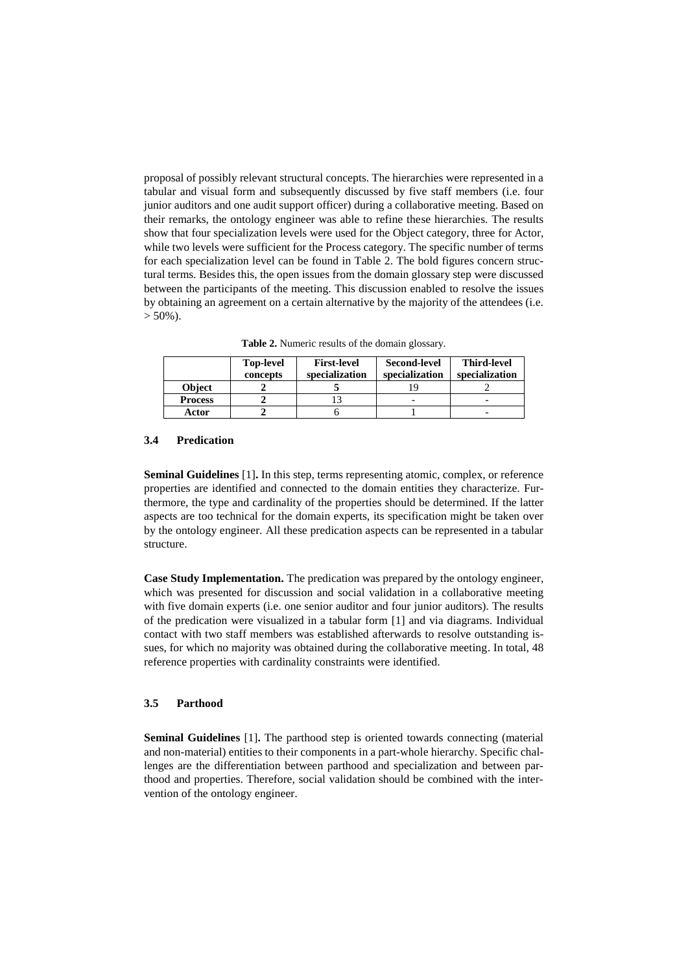proposal of possibly relevant structural concepts. The hierarchies were represented in a tabular and visual form and subsequently discussed by five staff members (i.e. four junior auditors and one audit support officer) during a collaborative meeting. Based on their remarks, the ontology engineer was able to refine these hierarchies. The results show that four specialization levels were used for the Object category, three for Actor, while two levels were sufficient for the Process category. The specific number of terms for each specialization level can be found in Table 2. The bold figures concern structural terms. Besides this, the open issues from the domain glossary step were discussed between the participants of the meeting. This discussion enabled to resolve the issues by obtaining an agreement on a certain alternative by the majority of the attendees (i.e.  $>$  50%).

**Table 2.** Numeric results of the domain glossary.

|                | <b>Top-level</b><br>concepts | <b>First-level</b><br>specialization | <b>Second-level</b><br>specialization | <b>Third-level</b><br>specialization |
|----------------|------------------------------|--------------------------------------|---------------------------------------|--------------------------------------|
| <b>Object</b>  |                              |                                      |                                       |                                      |
| <b>Process</b> |                              |                                      |                                       |                                      |
| Actor          |                              |                                      |                                       |                                      |

#### **3.4 Predication**

**Seminal Guidelines** [1]**.** In this step, terms representing atomic, complex, or reference properties are identified and connected to the domain entities they characterize. Furthermore, the type and cardinality of the properties should be determined. If the latter aspects are too technical for the domain experts, its specification might be taken over by the ontology engineer. All these predication aspects can be represented in a tabular structure.

**Case Study Implementation.** The predication was prepared by the ontology engineer, which was presented for discussion and social validation in a collaborative meeting with five domain experts (i.e. one senior auditor and four junior auditors). The results of the predication were visualized in a tabular form [1] and via diagrams. Individual contact with two staff members was established afterwards to resolve outstanding issues, for which no majority was obtained during the collaborative meeting. In total, 48 reference properties with cardinality constraints were identified.

## **3.5 Parthood**

**Seminal Guidelines** [1]**.** The parthood step is oriented towards connecting (material and non-material) entities to their components in a part-whole hierarchy. Specific challenges are the differentiation between parthood and specialization and between parthood and properties. Therefore, social validation should be combined with the intervention of the ontology engineer.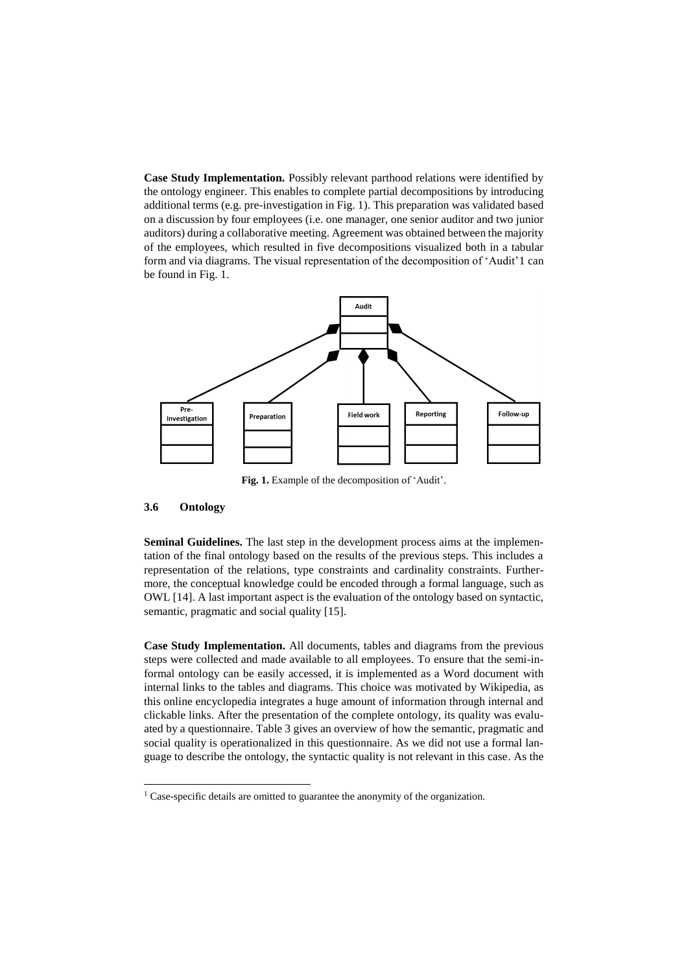**Case Study Implementation.** Possibly relevant parthood relations were identified by the ontology engineer. This enables to complete partial decompositions by introducing additional terms (e.g. pre-investigation in Fig. 1). This preparation was validated based on a discussion by four employees (i.e. one manager, one senior auditor and two junior auditors) during a collaborative meeting. Agreement was obtained between the majority of the employees, which resulted in five decompositions visualized both in a tabular form and via diagrams. The visual representation of the decomposition of 'Audit'1 can be found in Fig. 1.



**Fig. 1.** Example of the decomposition of 'Audit'.

#### **3.6 Ontology**

**Seminal Guidelines.** The last step in the development process aims at the implementation of the final ontology based on the results of the previous steps. This includes a representation of the relations, type constraints and cardinality constraints. Furthermore, the conceptual knowledge could be encoded through a formal language, such as OWL [14]. A last important aspect is the evaluation of the ontology based on syntactic, semantic, pragmatic and social quality [15].

**Case Study Implementation.** All documents, tables and diagrams from the previous steps were collected and made available to all employees. To ensure that the semi-informal ontology can be easily accessed, it is implemented as a Word document with internal links to the tables and diagrams. This choice was motivated by Wikipedia, as this online encyclopedia integrates a huge amount of information through internal and clickable links. After the presentation of the complete ontology, its quality was evaluated by a questionnaire. Table 3 gives an overview of how the semantic, pragmatic and social quality is operationalized in this questionnaire. As we did not use a formal language to describe the ontology, the syntactic quality is not relevant in this case. As the

<sup>&</sup>lt;sup>1</sup> Case-specific details are omitted to guarantee the anonymity of the organization.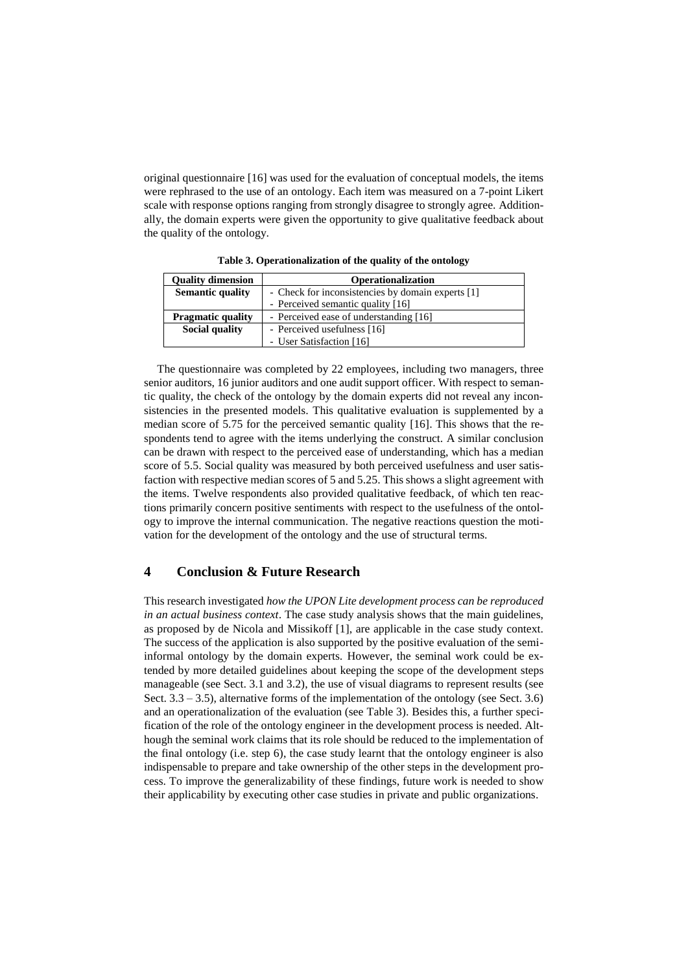original questionnaire [16] was used for the evaluation of conceptual models, the items were rephrased to the use of an ontology. Each item was measured on a 7-point Likert scale with response options ranging from strongly disagree to strongly agree. Additionally, the domain experts were given the opportunity to give qualitative feedback about the quality of the ontology.

| <b>Quality dimension</b> | <b>Operationalization</b>                         |  |
|--------------------------|---------------------------------------------------|--|
| <b>Semantic quality</b>  | - Check for inconsistencies by domain experts [1] |  |
|                          | - Perceived semantic quality [16]                 |  |
| <b>Pragmatic quality</b> | - Perceived ease of understanding [16]            |  |
| Social quality           | - Perceived usefulness [16]                       |  |
|                          | - User Satisfaction [16]                          |  |

**Table 3. Operationalization of the quality of the ontology**

The questionnaire was completed by 22 employees, including two managers, three senior auditors, 16 junior auditors and one audit support officer. With respect to semantic quality, the check of the ontology by the domain experts did not reveal any inconsistencies in the presented models. This qualitative evaluation is supplemented by a median score of 5.75 for the perceived semantic quality [16]. This shows that the respondents tend to agree with the items underlying the construct. A similar conclusion can be drawn with respect to the perceived ease of understanding, which has a median score of 5.5. Social quality was measured by both perceived usefulness and user satisfaction with respective median scores of 5 and 5.25. This shows a slight agreement with the items. Twelve respondents also provided qualitative feedback, of which ten reactions primarily concern positive sentiments with respect to the usefulness of the ontology to improve the internal communication. The negative reactions question the motivation for the development of the ontology and the use of structural terms.

## **4 Conclusion & Future Research**

This research investigated *how the UPON Lite development process can be reproduced in an actual business context*. The case study analysis shows that the main guidelines, as proposed by de Nicola and Missikoff [1], are applicable in the case study context. The success of the application is also supported by the positive evaluation of the semiinformal ontology by the domain experts. However, the seminal work could be extended by more detailed guidelines about keeping the scope of the development steps manageable (see Sect. 3.1 and 3.2), the use of visual diagrams to represent results (see Sect.  $3.3 - 3.5$ ), alternative forms of the implementation of the ontology (see Sect. 3.6) and an operationalization of the evaluation (see Table 3). Besides this, a further specification of the role of the ontology engineer in the development process is needed. Although the seminal work claims that its role should be reduced to the implementation of the final ontology (i.e. step 6), the case study learnt that the ontology engineer is also indispensable to prepare and take ownership of the other steps in the development process. To improve the generalizability of these findings, future work is needed to show their applicability by executing other case studies in private and public organizations.